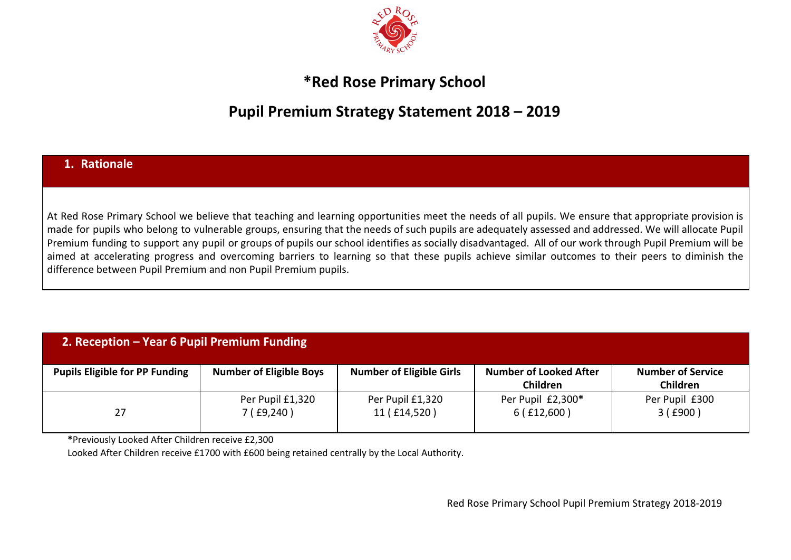

## **\*Red Rose Primary School**

## **Pupil Premium Strategy Statement 2018 – 2019**

## **1. Rationale**

At Red Rose Primary School we believe that teaching and learning opportunities meet the needs of all pupils. We ensure that appropriate provision is made for pupils who belong to vulnerable groups, ensuring that the needs of such pupils are adequately assessed and addressed. We will allocate Pupil Premium funding to support any pupil or groups of pupils our school identifies as socially disadvantaged. All of our work through Pupil Premium will be aimed at accelerating progress and overcoming barriers to learning so that these pupils achieve similar outcomes to their peers to diminish the difference between Pupil Premium and non Pupil Premium pupils.

| 2. Reception – Year 6 Pupil Premium Funding |                                 |                                  |                                           |                                             |  |
|---------------------------------------------|---------------------------------|----------------------------------|-------------------------------------------|---------------------------------------------|--|
| <b>Pupils Eligible for PP Funding</b>       | <b>Number of Eligible Boys</b>  | <b>Number of Eligible Girls</b>  | <b>Number of Looked After</b><br>Children | <b>Number of Service</b><br><b>Children</b> |  |
| 27                                          | Per Pupil £1,320<br>7(f.9, 240) | Per Pupil £1,320<br>11 (£14,520) | Per Pupil £2,300*<br>6(f12,600)           | Per Pupil £300<br>3(£900)                   |  |

**\***Previously Looked After Children receive £2,300

Looked After Children receive £1700 with £600 being retained centrally by the Local Authority.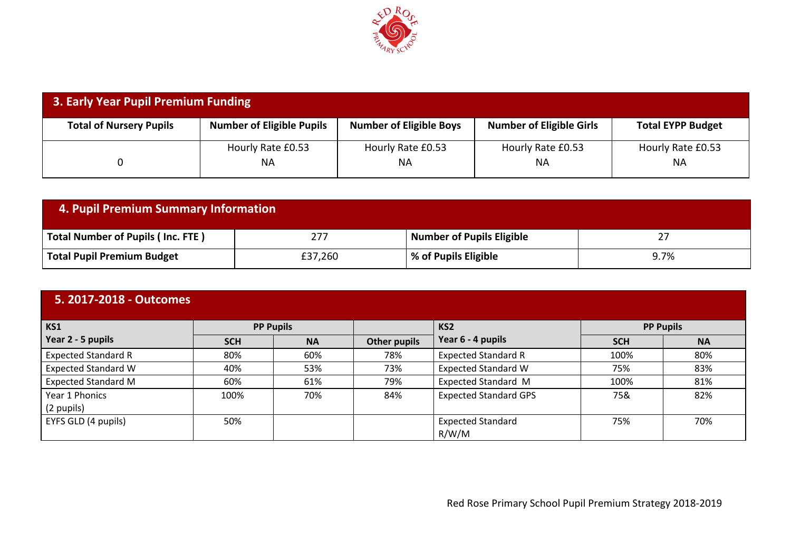

| 3. Early Year Pupil Premium Funding |                                  |                                |                                 |                          |  |
|-------------------------------------|----------------------------------|--------------------------------|---------------------------------|--------------------------|--|
| <b>Total of Nursery Pupils</b>      | <b>Number of Eligible Pupils</b> | <b>Number of Eligible Boys</b> | <b>Number of Eligible Girls</b> | <b>Total EYPP Budget</b> |  |
|                                     | Hourly Rate £0.53                | Hourly Rate £0.53              | Hourly Rate £0.53               | Hourly Rate £0.53        |  |
|                                     | <b>NA</b>                        | ΝA                             | ΝA                              | ΝA                       |  |

| 4. Pupil Premium Summary Information     |         |                           |      |  |
|------------------------------------------|---------|---------------------------|------|--|
| <b>Total Number of Pupils (Inc. FTE)</b> | 277     | Number of Pupils Eligible | 27   |  |
| <b>Total Pupil Premium Budget</b>        | £37,260 | % of Pupils Eligible      | 9.7% |  |

| 5. 2017-2018 - Outcomes    |            |                  |                     |                                   |            |                  |
|----------------------------|------------|------------------|---------------------|-----------------------------------|------------|------------------|
| KS1                        |            | <b>PP Pupils</b> |                     | KS <sub>2</sub>                   |            | <b>PP Pupils</b> |
| Year 2 - 5 pupils          | <b>SCH</b> | <b>NA</b>        | <b>Other pupils</b> | Year 6 - 4 pupils                 | <b>SCH</b> | <b>NA</b>        |
| <b>Expected Standard R</b> | 80%        | 60%              | 78%                 | <b>Expected Standard R</b>        | 100%       | 80%              |
| <b>Expected Standard W</b> | 40%        | 53%              | 73%                 | <b>Expected Standard W</b>        | 75%        | 83%              |
| <b>Expected Standard M</b> | 60%        | 61%              | 79%                 | <b>Expected Standard M</b>        | 100%       | 81%              |
| Year 1 Phonics             | 100%       | 70%              | 84%                 | <b>Expected Standard GPS</b>      | 75&        | 82%              |
| (2 pupils)                 |            |                  |                     |                                   |            |                  |
| EYFS GLD (4 pupils)        | 50%        |                  |                     | <b>Expected Standard</b><br>R/W/M | 75%        | 70%              |

Red Rose Primary School Pupil Premium Strategy 2018-2019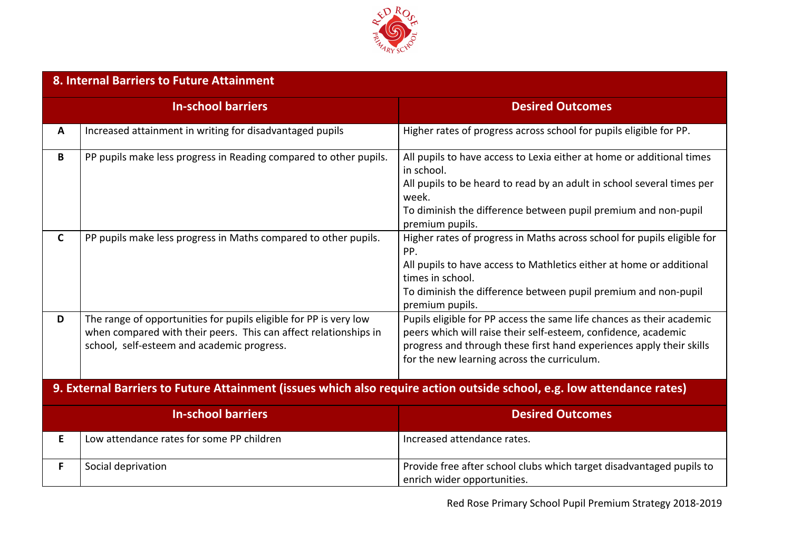

|              | 8. Internal Barriers to Future Attainment                                                                                                                                           |                                                                                                                                                                                                                                                                 |  |  |  |  |
|--------------|-------------------------------------------------------------------------------------------------------------------------------------------------------------------------------------|-----------------------------------------------------------------------------------------------------------------------------------------------------------------------------------------------------------------------------------------------------------------|--|--|--|--|
|              | <b>In-school barriers</b>                                                                                                                                                           | <b>Desired Outcomes</b>                                                                                                                                                                                                                                         |  |  |  |  |
| A            | Increased attainment in writing for disadvantaged pupils                                                                                                                            | Higher rates of progress across school for pupils eligible for PP.                                                                                                                                                                                              |  |  |  |  |
| B            | PP pupils make less progress in Reading compared to other pupils.                                                                                                                   | All pupils to have access to Lexia either at home or additional times<br>in school.<br>All pupils to be heard to read by an adult in school several times per<br>week.<br>To diminish the difference between pupil premium and non-pupil<br>premium pupils.     |  |  |  |  |
| $\mathsf{C}$ | PP pupils make less progress in Maths compared to other pupils.                                                                                                                     | Higher rates of progress in Maths across school for pupils eligible for<br>PP.<br>All pupils to have access to Mathletics either at home or additional<br>times in school.<br>To diminish the difference between pupil premium and non-pupil<br>premium pupils. |  |  |  |  |
| D            | The range of opportunities for pupils eligible for PP is very low<br>when compared with their peers. This can affect relationships in<br>school, self-esteem and academic progress. | Pupils eligible for PP access the same life chances as their academic<br>peers which will raise their self-esteem, confidence, academic<br>progress and through these first hand experiences apply their skills<br>for the new learning across the curriculum.  |  |  |  |  |
|              | 9. External Barriers to Future Attainment (issues which also require action outside school, e.g. low attendance rates)                                                              |                                                                                                                                                                                                                                                                 |  |  |  |  |
|              | <b>In-school barriers</b>                                                                                                                                                           | <b>Desired Outcomes</b>                                                                                                                                                                                                                                         |  |  |  |  |
| E.           | Low attendance rates for some PP children                                                                                                                                           | Increased attendance rates.                                                                                                                                                                                                                                     |  |  |  |  |
| F.           | Social deprivation                                                                                                                                                                  | Provide free after school clubs which target disadvantaged pupils to<br>enrich wider opportunities.                                                                                                                                                             |  |  |  |  |

Red Rose Primary School Pupil Premium Strategy 2018-2019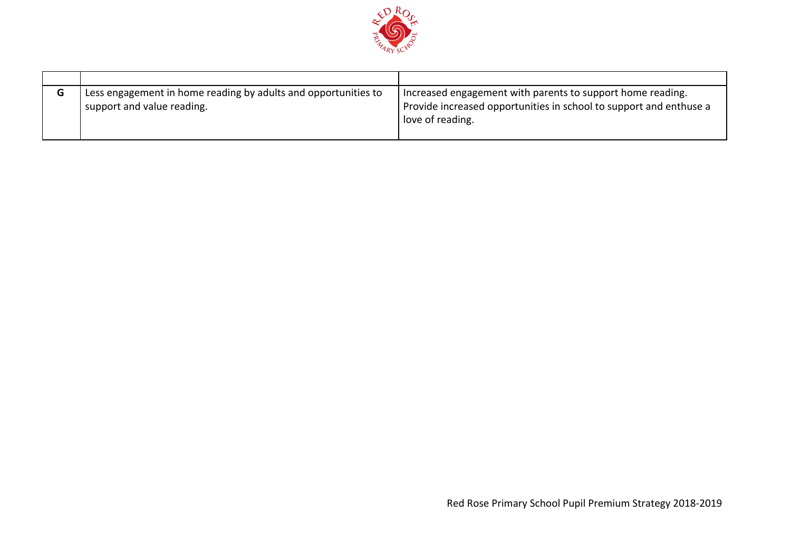

| G | Less engagement in home reading by adults and opportunities to<br>support and value reading. | Increased engagement with parents to support home reading.<br>Provide increased opportunities in school to support and enthuse a<br>love of reading. |
|---|----------------------------------------------------------------------------------------------|------------------------------------------------------------------------------------------------------------------------------------------------------|
|   |                                                                                              |                                                                                                                                                      |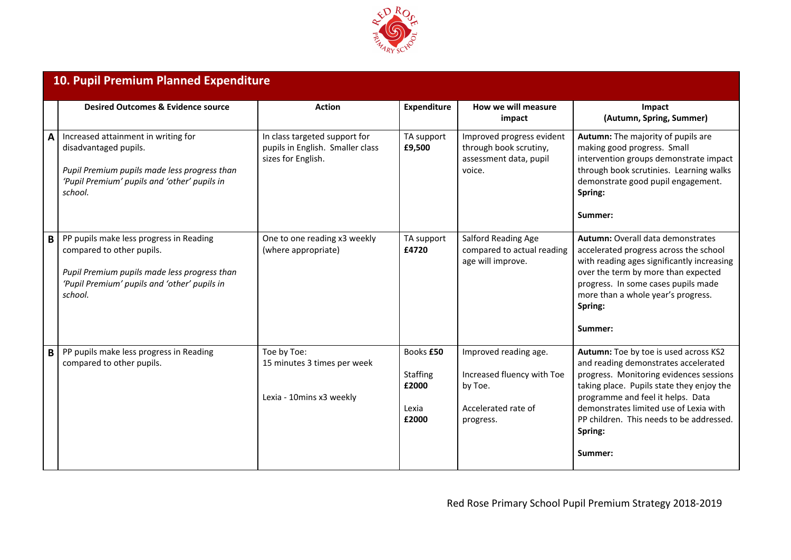

|   | 10. Pupil Premium Planned Expenditure                                                                                                                                           |                                                                                         |                                                         |                                                                                                    |                                                                                                                                                                                                                                                                                                                        |  |
|---|---------------------------------------------------------------------------------------------------------------------------------------------------------------------------------|-----------------------------------------------------------------------------------------|---------------------------------------------------------|----------------------------------------------------------------------------------------------------|------------------------------------------------------------------------------------------------------------------------------------------------------------------------------------------------------------------------------------------------------------------------------------------------------------------------|--|
|   | <b>Desired Outcomes &amp; Evidence source</b>                                                                                                                                   | <b>Action</b>                                                                           | Expenditure                                             | How we will measure<br>impact                                                                      | Impact<br>(Autumn, Spring, Summer)                                                                                                                                                                                                                                                                                     |  |
| A | Increased attainment in writing for<br>disadvantaged pupils.<br>Pupil Premium pupils made less progress than<br>'Pupil Premium' pupils and 'other' pupils in<br>school.         | In class targeted support for<br>pupils in English. Smaller class<br>sizes for English. | TA support<br>£9,500                                    | Improved progress evident<br>through book scrutiny,<br>assessment data, pupil<br>voice.            | Autumn: The majority of pupils are<br>making good progress. Small<br>intervention groups demonstrate impact<br>through book scrutinies. Learning walks<br>demonstrate good pupil engagement.<br>Spring:<br>Summer:                                                                                                     |  |
| B | PP pupils make less progress in Reading<br>compared to other pupils.<br>Pupil Premium pupils made less progress than<br>'Pupil Premium' pupils and 'other' pupils in<br>school. | One to one reading x3 weekly<br>(where appropriate)                                     | TA support<br>£4720                                     | Salford Reading Age<br>compared to actual reading<br>age will improve.                             | <b>Autumn: Overall data demonstrates</b><br>accelerated progress across the school<br>with reading ages significantly increasing<br>over the term by more than expected<br>progress. In some cases pupils made<br>more than a whole year's progress.<br>Spring:<br>Summer:                                             |  |
| B | PP pupils make less progress in Reading<br>compared to other pupils.                                                                                                            | Toe by Toe:<br>15 minutes 3 times per week<br>Lexia - 10mins x3 weekly                  | Books £50<br><b>Staffing</b><br>£2000<br>Lexia<br>£2000 | Improved reading age.<br>Increased fluency with Toe<br>by Toe.<br>Accelerated rate of<br>progress. | Autumn: Toe by toe is used across KS2<br>and reading demonstrates accelerated<br>progress. Monitoring evidences sessions<br>taking place. Pupils state they enjoy the<br>programme and feel it helps. Data<br>demonstrates limited use of Lexia with<br>PP children. This needs to be addressed.<br>Spring:<br>Summer: |  |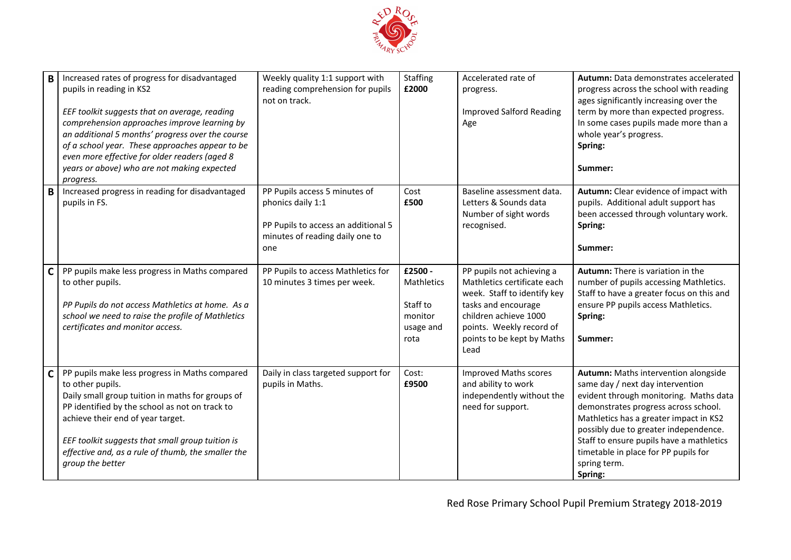

| B | Increased rates of progress for disadvantaged<br>pupils in reading in KS2<br>EEF toolkit suggests that on average, reading<br>comprehension approaches improve learning by<br>an additional 5 months' progress over the course<br>of a school year. These approaches appear to be<br>even more effective for older readers (aged 8<br>years or above) who are not making expected<br>progress. | Weekly quality 1:1 support with<br>reading comprehension for pupils<br>not on track.                                                | <b>Staffing</b><br>£2000                                          | Accelerated rate of<br>progress.<br><b>Improved Salford Reading</b><br>Age                                                                                                                                | Autumn: Data demonstrates accelerated<br>progress across the school with reading<br>ages significantly increasing over the<br>term by more than expected progress.<br>In some cases pupils made more than a<br>whole year's progress.<br>Spring:<br>Summer:                                                                                                  |
|---|------------------------------------------------------------------------------------------------------------------------------------------------------------------------------------------------------------------------------------------------------------------------------------------------------------------------------------------------------------------------------------------------|-------------------------------------------------------------------------------------------------------------------------------------|-------------------------------------------------------------------|-----------------------------------------------------------------------------------------------------------------------------------------------------------------------------------------------------------|--------------------------------------------------------------------------------------------------------------------------------------------------------------------------------------------------------------------------------------------------------------------------------------------------------------------------------------------------------------|
| B | Increased progress in reading for disadvantaged<br>pupils in FS.                                                                                                                                                                                                                                                                                                                               | PP Pupils access 5 minutes of<br>phonics daily 1:1<br>PP Pupils to access an additional 5<br>minutes of reading daily one to<br>one | Cost<br>£500                                                      | Baseline assessment data.<br>Letters & Sounds data<br>Number of sight words<br>recognised.                                                                                                                | Autumn: Clear evidence of impact with<br>pupils. Additional adult support has<br>been accessed through voluntary work.<br>Spring:<br>Summer:                                                                                                                                                                                                                 |
| C | PP pupils make less progress in Maths compared<br>to other pupils.<br>PP Pupils do not access Mathletics at home. As a<br>school we need to raise the profile of Mathletics<br>certificates and monitor access.                                                                                                                                                                                | PP Pupils to access Mathletics for<br>10 minutes 3 times per week.                                                                  | £2500 -<br>Mathletics<br>Staff to<br>monitor<br>usage and<br>rota | PP pupils not achieving a<br>Mathletics certificate each<br>week. Staff to identify key<br>tasks and encourage<br>children achieve 1000<br>points. Weekly record of<br>points to be kept by Maths<br>Lead | <b>Autumn:</b> There is variation in the<br>number of pupils accessing Mathletics.<br>Staff to have a greater focus on this and<br>ensure PP pupils access Mathletics.<br>Spring:<br>Summer:                                                                                                                                                                 |
| C | PP pupils make less progress in Maths compared<br>to other pupils.<br>Daily small group tuition in maths for groups of<br>PP identified by the school as not on track to<br>achieve their end of year target.<br>EEF toolkit suggests that small group tuition is<br>effective and, as a rule of thumb, the smaller the<br>group the better                                                    | Daily in class targeted support for<br>pupils in Maths.                                                                             | Cost:<br>£9500                                                    | <b>Improved Maths scores</b><br>and ability to work<br>independently without the<br>need for support.                                                                                                     | Autumn: Maths intervention alongside<br>same day / next day intervention<br>evident through monitoring. Maths data<br>demonstrates progress across school.<br>Mathletics has a greater impact in KS2<br>possibly due to greater independence.<br>Staff to ensure pupils have a mathletics<br>timetable in place for PP pupils for<br>spring term.<br>Spring: |

Red Rose Primary School Pupil Premium Strategy 2018-2019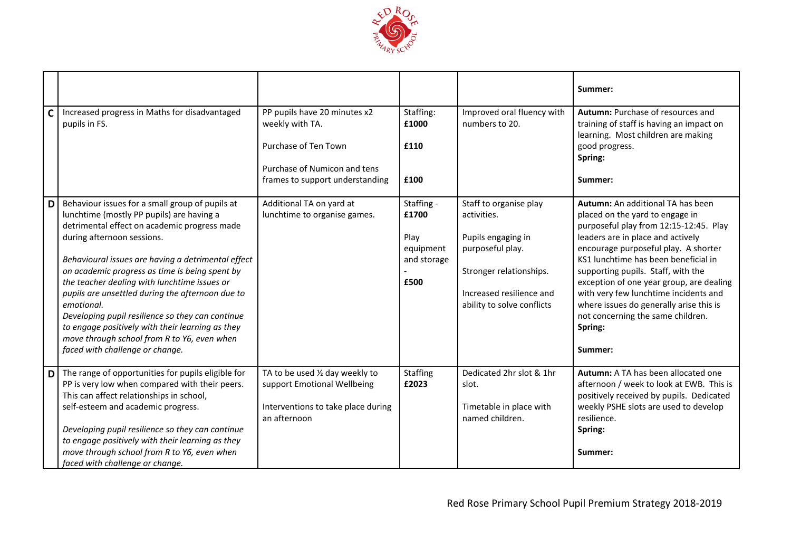

|             |                                                                                                                                                                                                                                                                                                                                                                                                                                                                                                                                                                                                |                                                                                                                                            |                                                                 |                                                                                                                                                                      | Summer:                                                                                                                                                                                                                                                                                                                                                                                                                                                              |
|-------------|------------------------------------------------------------------------------------------------------------------------------------------------------------------------------------------------------------------------------------------------------------------------------------------------------------------------------------------------------------------------------------------------------------------------------------------------------------------------------------------------------------------------------------------------------------------------------------------------|--------------------------------------------------------------------------------------------------------------------------------------------|-----------------------------------------------------------------|----------------------------------------------------------------------------------------------------------------------------------------------------------------------|----------------------------------------------------------------------------------------------------------------------------------------------------------------------------------------------------------------------------------------------------------------------------------------------------------------------------------------------------------------------------------------------------------------------------------------------------------------------|
| $\mathbf c$ | Increased progress in Maths for disadvantaged<br>pupils in FS.                                                                                                                                                                                                                                                                                                                                                                                                                                                                                                                                 | PP pupils have 20 minutes x2<br>weekly with TA.<br>Purchase of Ten Town<br>Purchase of Numicon and tens<br>frames to support understanding | Staffing:<br>£1000<br>£110<br>£100                              | Improved oral fluency with<br>numbers to 20.                                                                                                                         | Autumn: Purchase of resources and<br>training of staff is having an impact on<br>learning. Most children are making<br>good progress.<br>Spring:<br>Summer:                                                                                                                                                                                                                                                                                                          |
| D           | Behaviour issues for a small group of pupils at<br>lunchtime (mostly PP pupils) are having a<br>detrimental effect on academic progress made<br>during afternoon sessions.<br>Behavioural issues are having a detrimental effect<br>on academic progress as time is being spent by<br>the teacher dealing with lunchtime issues or<br>pupils are unsettled during the afternoon due to<br>emotional.<br>Developing pupil resilience so they can continue<br>to engage positively with their learning as they<br>move through school from R to Y6, even when<br>faced with challenge or change. | Additional TA on yard at<br>lunchtime to organise games.                                                                                   | Staffing -<br>£1700<br>Play<br>equipment<br>and storage<br>£500 | Staff to organise play<br>activities.<br>Pupils engaging in<br>purposeful play.<br>Stronger relationships.<br>Increased resilience and<br>ability to solve conflicts | Autumn: An additional TA has been<br>placed on the yard to engage in<br>purposeful play from 12:15-12:45. Play<br>leaders are in place and actively<br>encourage purposeful play. A shorter<br>KS1 lunchtime has been beneficial in<br>supporting pupils. Staff, with the<br>exception of one year group, are dealing<br>with very few lunchtime incidents and<br>where issues do generally arise this is<br>not concerning the same children.<br>Spring:<br>Summer: |
| D           | The range of opportunities for pupils eligible for<br>PP is very low when compared with their peers.<br>This can affect relationships in school,<br>self-esteem and academic progress.<br>Developing pupil resilience so they can continue<br>to engage positively with their learning as they<br>move through school from R to Y6, even when<br>faced with challenge or change.                                                                                                                                                                                                               | TA to be used 1/2 day weekly to<br>support Emotional Wellbeing<br>Interventions to take place during<br>an afternoon                       | Staffing<br>£2023                                               | Dedicated 2hr slot & 1hr<br>slot.<br>Timetable in place with<br>named children.                                                                                      | Autumn: A TA has been allocated one<br>afternoon / week to look at EWB. This is<br>positively received by pupils. Dedicated<br>weekly PSHE slots are used to develop<br>resilience.<br>Spring:<br>Summer:                                                                                                                                                                                                                                                            |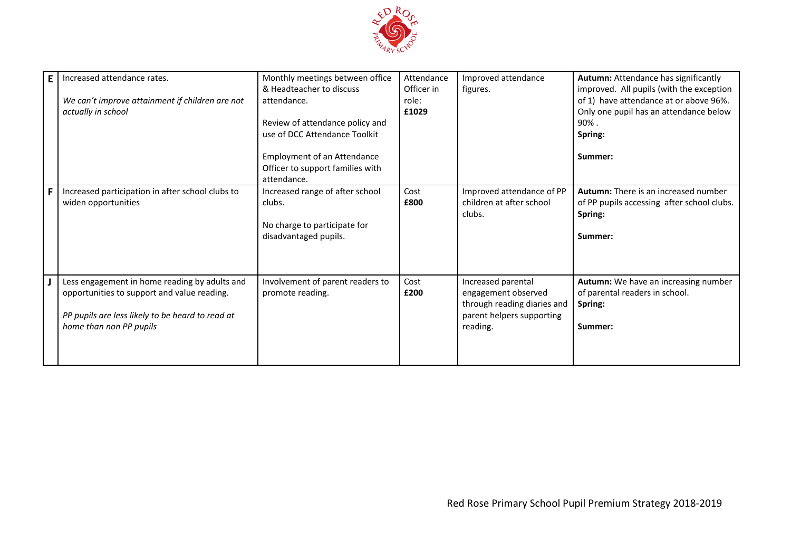

| E. | Increased attendance rates.<br>We can't improve attainment if children are not<br>actually in school                                                                        | Monthly meetings between office<br>& Headteacher to discuss<br>attendance.<br>Review of attendance policy and          | Attendance<br>Officer in<br>role:<br>£1029 | Improved attendance<br>figures.                                                                                   | Autumn: Attendance has significantly<br>improved. All pupils (with the exception<br>of 1) have attendance at or above 96%.<br>Only one pupil has an attendance below<br>$90\%$ . |
|----|-----------------------------------------------------------------------------------------------------------------------------------------------------------------------------|------------------------------------------------------------------------------------------------------------------------|--------------------------------------------|-------------------------------------------------------------------------------------------------------------------|----------------------------------------------------------------------------------------------------------------------------------------------------------------------------------|
|    |                                                                                                                                                                             | use of DCC Attendance Toolkit<br><b>Employment of an Attendance</b><br>Officer to support families with<br>attendance. |                                            |                                                                                                                   | Spring:<br>Summer:                                                                                                                                                               |
|    | Increased participation in after school clubs to<br>widen opportunities                                                                                                     | Increased range of after school<br>clubs.<br>No charge to participate for<br>disadvantaged pupils.                     | Cost<br>£800                               | Improved attendance of PP<br>children at after school<br>clubs.                                                   | Autumn: There is an increased number<br>of PP pupils accessing after school clubs.<br>Spring:<br>Summer:                                                                         |
|    | Less engagement in home reading by adults and<br>opportunities to support and value reading.<br>PP pupils are less likely to be heard to read at<br>home than non PP pupils | Involvement of parent readers to<br>promote reading.                                                                   | Cost<br>£200                               | Increased parental<br>engagement observed<br>through reading diaries and<br>parent helpers supporting<br>reading. | Autumn: We have an increasing number<br>of parental readers in school.<br>Spring:<br>Summer:                                                                                     |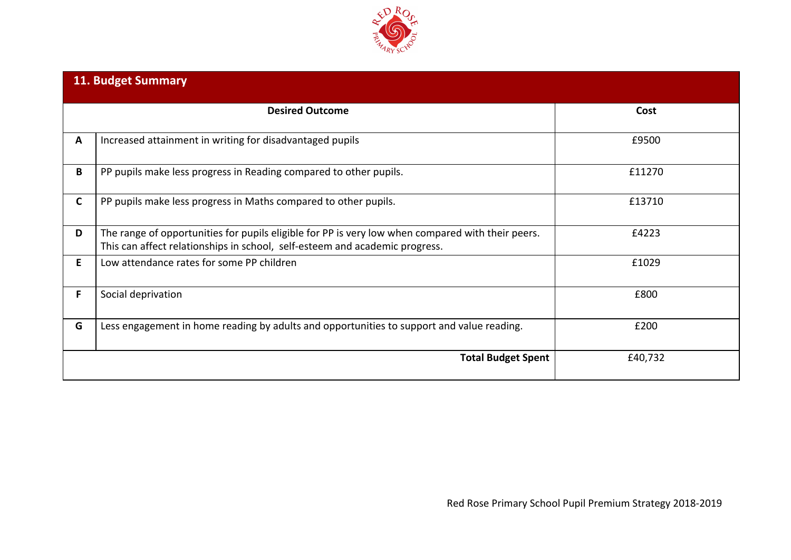

|    | <b>11. Budget Summary</b>                                                                                                                                                        |         |
|----|----------------------------------------------------------------------------------------------------------------------------------------------------------------------------------|---------|
|    | <b>Desired Outcome</b>                                                                                                                                                           | Cost    |
| A  | Increased attainment in writing for disadvantaged pupils                                                                                                                         | £9500   |
| В  | PP pupils make less progress in Reading compared to other pupils.                                                                                                                | £11270  |
| C  | PP pupils make less progress in Maths compared to other pupils.                                                                                                                  | £13710  |
| D  | The range of opportunities for pupils eligible for PP is very low when compared with their peers.<br>This can affect relationships in school, self-esteem and academic progress. | £4223   |
| E. | Low attendance rates for some PP children                                                                                                                                        | £1029   |
| F. | Social deprivation                                                                                                                                                               | £800    |
| G  | Less engagement in home reading by adults and opportunities to support and value reading.                                                                                        | £200    |
|    | <b>Total Budget Spent</b>                                                                                                                                                        | £40,732 |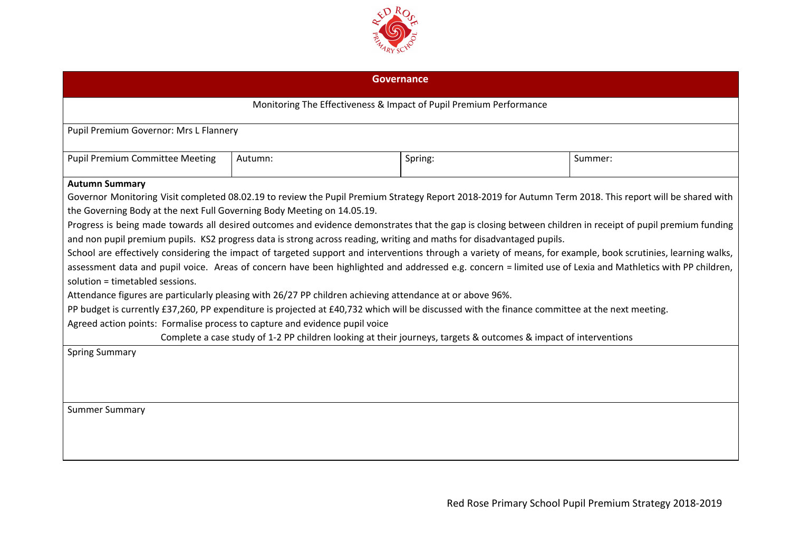

| <b>Governance</b>                                                                                                                                                                                                                                                                                                                                                                                                                                                                                                                                                                                                                                                                                                                                                                                                                                                                                                                                                                                                                                                                                                                                                                                                                                                   |         |                                                                    |         |  |  |
|---------------------------------------------------------------------------------------------------------------------------------------------------------------------------------------------------------------------------------------------------------------------------------------------------------------------------------------------------------------------------------------------------------------------------------------------------------------------------------------------------------------------------------------------------------------------------------------------------------------------------------------------------------------------------------------------------------------------------------------------------------------------------------------------------------------------------------------------------------------------------------------------------------------------------------------------------------------------------------------------------------------------------------------------------------------------------------------------------------------------------------------------------------------------------------------------------------------------------------------------------------------------|---------|--------------------------------------------------------------------|---------|--|--|
|                                                                                                                                                                                                                                                                                                                                                                                                                                                                                                                                                                                                                                                                                                                                                                                                                                                                                                                                                                                                                                                                                                                                                                                                                                                                     |         | Monitoring The Effectiveness & Impact of Pupil Premium Performance |         |  |  |
| Pupil Premium Governor: Mrs L Flannery                                                                                                                                                                                                                                                                                                                                                                                                                                                                                                                                                                                                                                                                                                                                                                                                                                                                                                                                                                                                                                                                                                                                                                                                                              |         |                                                                    |         |  |  |
| <b>Pupil Premium Committee Meeting</b>                                                                                                                                                                                                                                                                                                                                                                                                                                                                                                                                                                                                                                                                                                                                                                                                                                                                                                                                                                                                                                                                                                                                                                                                                              | Autumn: | Spring:                                                            | Summer: |  |  |
| <b>Autumn Summary</b><br>Governor Monitoring Visit completed 08.02.19 to review the Pupil Premium Strategy Report 2018-2019 for Autumn Term 2018. This report will be shared with<br>the Governing Body at the next Full Governing Body Meeting on 14.05.19.<br>Progress is being made towards all desired outcomes and evidence demonstrates that the gap is closing between children in receipt of pupil premium funding<br>and non pupil premium pupils. KS2 progress data is strong across reading, writing and maths for disadvantaged pupils.<br>School are effectively considering the impact of targeted support and interventions through a variety of means, for example, book scrutinies, learning walks,<br>assessment data and pupil voice. Areas of concern have been highlighted and addressed e.g. concern = limited use of Lexia and Mathletics with PP children,<br>solution = timetabled sessions.<br>Attendance figures are particularly pleasing with 26/27 PP children achieving attendance at or above 96%.<br>PP budget is currently £37,260, PP expenditure is projected at £40,732 which will be discussed with the finance committee at the next meeting.<br>Agreed action points: Formalise process to capture and evidence pupil voice |         |                                                                    |         |  |  |
| Complete a case study of 1-2 PP children looking at their journeys, targets & outcomes & impact of interventions<br><b>Spring Summary</b><br><b>Summer Summary</b>                                                                                                                                                                                                                                                                                                                                                                                                                                                                                                                                                                                                                                                                                                                                                                                                                                                                                                                                                                                                                                                                                                  |         |                                                                    |         |  |  |